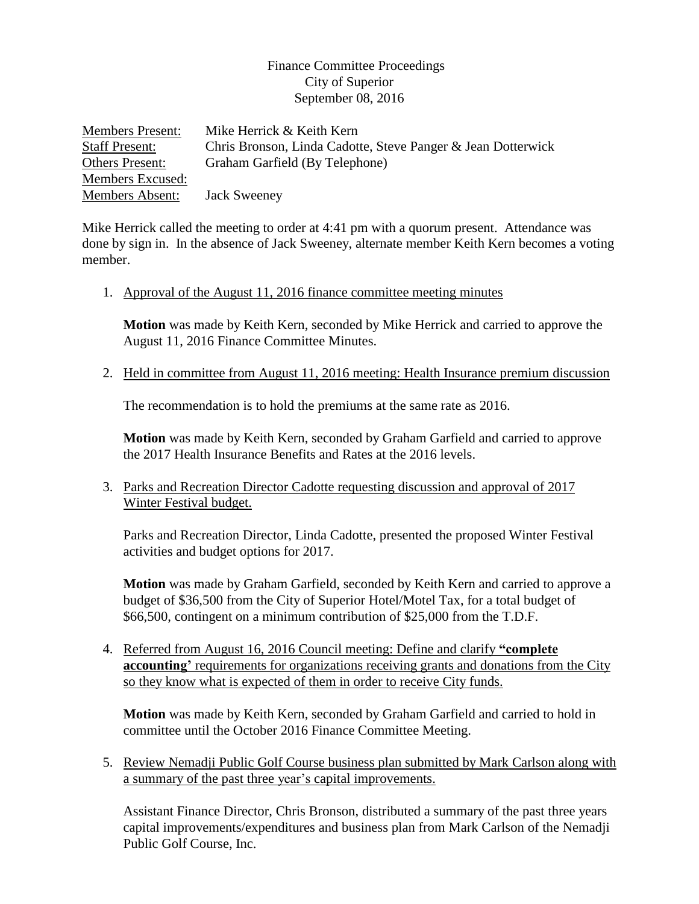## Finance Committee Proceedings City of Superior September 08, 2016

| <b>Members Present:</b> | Mike Herrick & Keith Kern                                    |
|-------------------------|--------------------------------------------------------------|
| <b>Staff Present:</b>   | Chris Bronson, Linda Cadotte, Steve Panger & Jean Dotterwick |
| <b>Others Present:</b>  | Graham Garfield (By Telephone)                               |
| Members Excused:        |                                                              |
| Members Absent:         | <b>Jack Sweeney</b>                                          |

Mike Herrick called the meeting to order at 4:41 pm with a quorum present. Attendance was done by sign in. In the absence of Jack Sweeney, alternate member Keith Kern becomes a voting member.

1. Approval of the August 11, 2016 finance committee meeting minutes

**Motion** was made by Keith Kern, seconded by Mike Herrick and carried to approve the August 11, 2016 Finance Committee Minutes.

2. Held in committee from August 11, 2016 meeting: Health Insurance premium discussion

The recommendation is to hold the premiums at the same rate as 2016.

**Motion** was made by Keith Kern, seconded by Graham Garfield and carried to approve the 2017 Health Insurance Benefits and Rates at the 2016 levels.

3. Parks and Recreation Director Cadotte requesting discussion and approval of 2017 Winter Festival budget.

Parks and Recreation Director, Linda Cadotte, presented the proposed Winter Festival activities and budget options for 2017.

**Motion** was made by Graham Garfield, seconded by Keith Kern and carried to approve a budget of \$36,500 from the City of Superior Hotel/Motel Tax, for a total budget of \$66,500, contingent on a minimum contribution of \$25,000 from the T.D.F.

4. Referred from August 16, 2016 Council meeting: Define and clarify **"complete accounting'** requirements for organizations receiving grants and donations from the City so they know what is expected of them in order to receive City funds.

**Motion** was made by Keith Kern, seconded by Graham Garfield and carried to hold in committee until the October 2016 Finance Committee Meeting.

5. Review Nemadji Public Golf Course business plan submitted by Mark Carlson along with a summary of the past three year's capital improvements.

Assistant Finance Director, Chris Bronson, distributed a summary of the past three years capital improvements/expenditures and business plan from Mark Carlson of the Nemadji Public Golf Course, Inc.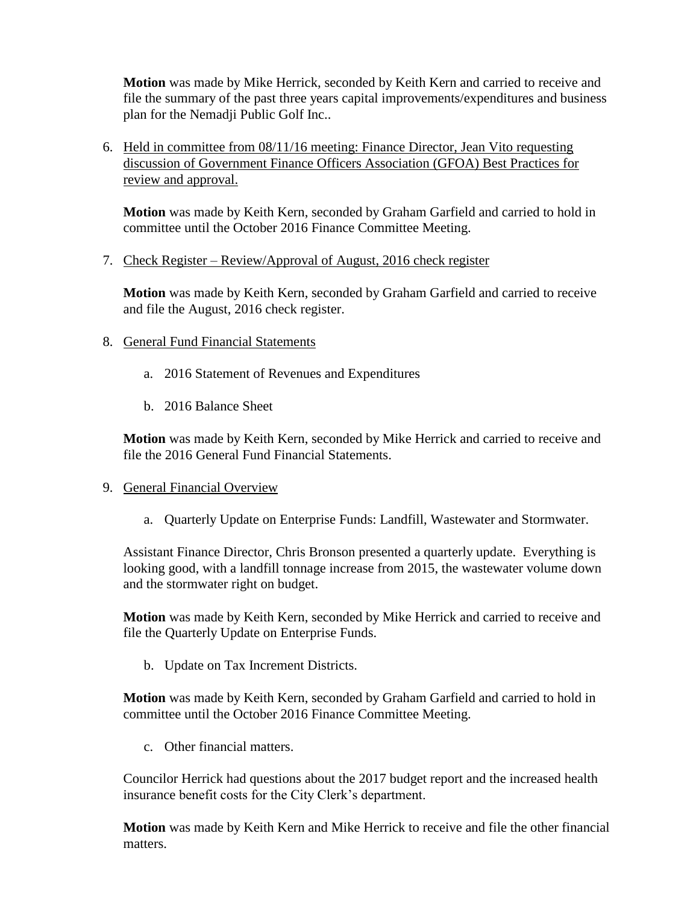**Motion** was made by Mike Herrick, seconded by Keith Kern and carried to receive and file the summary of the past three years capital improvements/expenditures and business plan for the Nemadji Public Golf Inc..

6. Held in committee from 08/11/16 meeting: Finance Director, Jean Vito requesting discussion of Government Finance Officers Association (GFOA) Best Practices for review and approval.

**Motion** was made by Keith Kern, seconded by Graham Garfield and carried to hold in committee until the October 2016 Finance Committee Meeting.

7. Check Register – Review/Approval of August, 2016 check register

**Motion** was made by Keith Kern, seconded by Graham Garfield and carried to receive and file the August, 2016 check register.

- 8. General Fund Financial Statements
	- a. 2016 Statement of Revenues and Expenditures
	- b. 2016 Balance Sheet

**Motion** was made by Keith Kern, seconded by Mike Herrick and carried to receive and file the 2016 General Fund Financial Statements.

## 9. General Financial Overview

a. Quarterly Update on Enterprise Funds: Landfill, Wastewater and Stormwater.

Assistant Finance Director, Chris Bronson presented a quarterly update. Everything is looking good, with a landfill tonnage increase from 2015, the wastewater volume down and the stormwater right on budget.

**Motion** was made by Keith Kern, seconded by Mike Herrick and carried to receive and file the Quarterly Update on Enterprise Funds.

b. Update on Tax Increment Districts.

**Motion** was made by Keith Kern, seconded by Graham Garfield and carried to hold in committee until the October 2016 Finance Committee Meeting.

c. Other financial matters.

Councilor Herrick had questions about the 2017 budget report and the increased health insurance benefit costs for the City Clerk's department.

**Motion** was made by Keith Kern and Mike Herrick to receive and file the other financial matters.